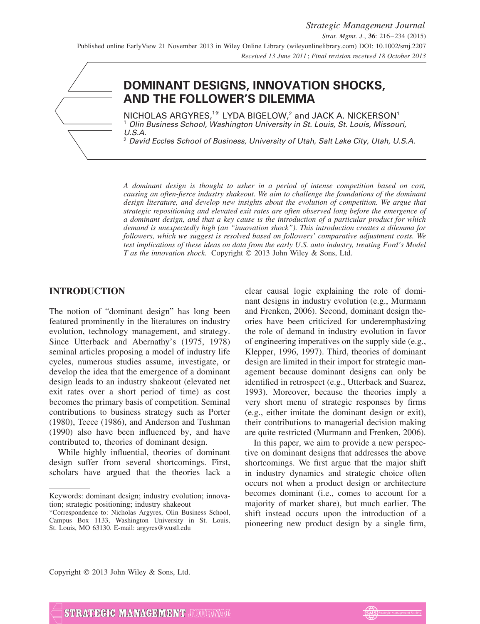

# **DOMINANT DESIGNS, INNOVATION SHOCKS, AND THE FOLLOWER'S DILEMMA**

 $NICHOLAS$   $ARGYRES, 1*$   $LYDA$   $BIGELOW, 2*$  and  $JACK$   $A.$   $NICKERSON<sup>1</sup>$ <sup>1</sup> Olin Business School, Washington University in St. Louis, St. Louis, Missouri, U.S.A.

<sup>2</sup> David Eccles School of Business, University of Utah, Salt Lake City, Utah, U.S.A.

*A dominant design is thought to usher in a period of intense competition based on cost, causing an often-fierce industry shakeout. We aim to challenge the foundations of the dominant design literature, and develop new insights about the evolution of competition. We argue that strategic repositioning and elevated exit rates are often observed long before the emergence of a dominant design, and that a key cause is the introduction of a particular product for which demand is unexpectedly high (an "innovation shock"). This introduction creates a dilemma for followers, which we suggest is resolved based on followers' comparative adjustment costs. We test implications of these ideas on data from the early U.S. auto industry, treating Ford's Model T as the innovation shock.* Copyright © 2013 John Wiley & Sons, Ltd.

#### **INTRODUCTION**

The notion of "dominant design" has long been featured prominently in the literatures on industry evolution, technology management, and strategy. Since Utterback and Abernathy's (1975, 1978) seminal articles proposing a model of industry life cycles, numerous studies assume, investigate, or develop the idea that the emergence of a dominant design leads to an industry shakeout (elevated net exit rates over a short period of time) as cost becomes the primary basis of competition. Seminal contributions to business strategy such as Porter (1980), Teece (1986), and Anderson and Tushman (1990) also have been influenced by, and have contributed to, theories of dominant design.

While highly influential, theories of dominant design suffer from several shortcomings. First, scholars have argued that the theories lack a

clear causal logic explaining the role of dominant designs in industry evolution (e.g., Murmann and Frenken, 2006). Second, dominant design theories have been criticized for underemphasizing the role of demand in industry evolution in favor of engineering imperatives on the supply side (e.g., Klepper, 1996, 1997). Third, theories of dominant design are limited in their import for strategic management because dominant designs can only be identified in retrospect (e.g., Utterback and Suarez, 1993). Moreover, because the theories imply a very short menu of strategic responses by firms (e.g., either imitate the dominant design or exit), their contributions to managerial decision making are quite restricted (Murmann and Frenken, 2006).

In this paper, we aim to provide a new perspective on dominant designs that addresses the above shortcomings. We first argue that the major shift in industry dynamics and strategic choice often occurs not when a product design or architecture becomes dominant (i.e., comes to account for a majority of market share), but much earlier. The shift instead occurs upon the introduction of a pioneering new product design by a single firm,

Copyright © 2013 John Wiley & Sons, Ltd.



Keywords: dominant design; industry evolution; innovation; strategic positioning; industry shakeout

<sup>\*</sup>Correspondence to: Nicholas Argyres, Olin Business School, Campus Box 1133, Washington University in St. Louis, St. Louis, MO 63130. E-mail: argyres@wustl.edu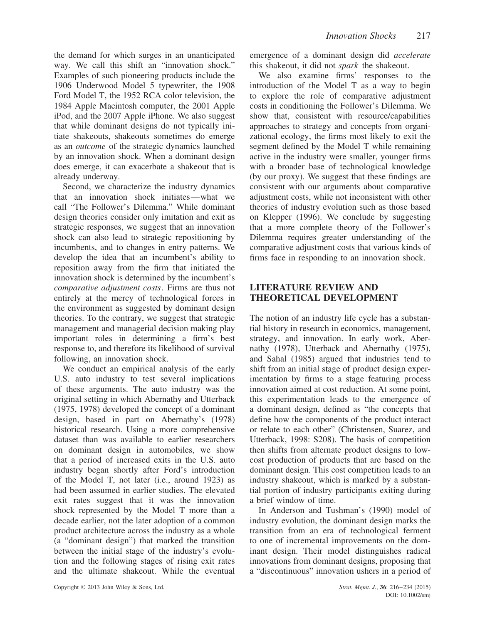the demand for which surges in an unanticipated way. We call this shift an "innovation shock." Examples of such pioneering products include the 1906 Underwood Model 5 typewriter, the 1908 Ford Model T, the 1952 RCA color television, the 1984 Apple Macintosh computer, the 2001 Apple iPod, and the 2007 Apple iPhone. We also suggest that while dominant designs do not typically initiate shakeouts, shakeouts sometimes do emerge as an *outcome* of the strategic dynamics launched by an innovation shock. When a dominant design does emerge, it can exacerbate a shakeout that is already underway.

Second, we characterize the industry dynamics that an innovation shock initiates—what we call "The Follower's Dilemma." While dominant design theories consider only imitation and exit as strategic responses, we suggest that an innovation shock can also lead to strategic repositioning by incumbents, and to changes in entry patterns. We develop the idea that an incumbent's ability to reposition away from the firm that initiated the innovation shock is determined by the incumbent's *comparative adjustment costs*. Firms are thus not entirely at the mercy of technological forces in the environment as suggested by dominant design theories. To the contrary, we suggest that strategic management and managerial decision making play important roles in determining a firm's best response to, and therefore its likelihood of survival following, an innovation shock.

We conduct an empirical analysis of the early U.S. auto industry to test several implications of these arguments. The auto industry was the original setting in which Abernathy and Utterback (1975, 1978) developed the concept of a dominant design, based in part on Abernathy's (1978) historical research. Using a more comprehensive dataset than was available to earlier researchers on dominant design in automobiles, we show that a period of increased exits in the U.S. auto industry began shortly after Ford's introduction of the Model T, not later (i.e., around 1923) as had been assumed in earlier studies. The elevated exit rates suggest that it was the innovation shock represented by the Model T more than a decade earlier, not the later adoption of a common product architecture across the industry as a whole (a "dominant design") that marked the transition between the initial stage of the industry's evolution and the following stages of rising exit rates and the ultimate shakeout. While the eventual emergence of a dominant design did *accelerate* this shakeout, it did not *spark* the shakeout.

We also examine firms' responses to the introduction of the Model T as a way to begin to explore the role of comparative adjustment costs in conditioning the Follower's Dilemma. We show that, consistent with resource/capabilities approaches to strategy and concepts from organizational ecology, the firms most likely to exit the segment defined by the Model T while remaining active in the industry were smaller, younger firms with a broader base of technological knowledge (by our proxy). We suggest that these findings are consistent with our arguments about comparative adjustment costs, while not inconsistent with other theories of industry evolution such as those based on Klepper (1996). We conclude by suggesting that a more complete theory of the Follower's Dilemma requires greater understanding of the comparative adjustment costs that various kinds of firms face in responding to an innovation shock.

## **LITERATURE REVIEW AND THEORETICAL DEVELOPMENT**

The notion of an industry life cycle has a substantial history in research in economics, management, strategy, and innovation. In early work, Abernathy (1978), Utterback and Abernathy (1975), and Sahal (1985) argued that industries tend to shift from an initial stage of product design experimentation by firms to a stage featuring process innovation aimed at cost reduction. At some point, this experimentation leads to the emergence of a dominant design, defined as "the concepts that define how the components of the product interact or relate to each other" (Christensen, Suarez, and Utterback, 1998: S208). The basis of competition then shifts from alternate product designs to lowcost production of products that are based on the dominant design. This cost competition leads to an industry shakeout, which is marked by a substantial portion of industry participants exiting during a brief window of time.

In Anderson and Tushman's (1990) model of industry evolution, the dominant design marks the transition from an era of technological ferment to one of incremental improvements on the dominant design. Their model distinguishes radical innovations from dominant designs, proposing that a "discontinuous" innovation ushers in a period of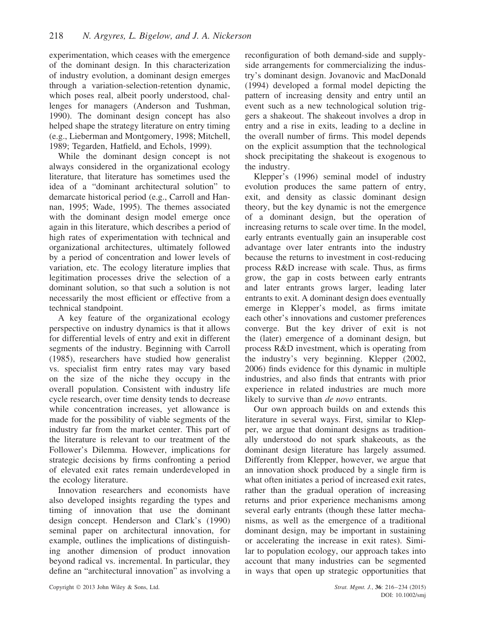experimentation, which ceases with the emergence of the dominant design. In this characterization of industry evolution, a dominant design emerges through a variation-selection-retention dynamic, which poses real, albeit poorly understood, challenges for managers (Anderson and Tushman, 1990). The dominant design concept has also helped shape the strategy literature on entry timing (e.g., Lieberman and Montgomery, 1998; Mitchell, 1989; Tegarden, Hatfield, and Echols, 1999).

While the dominant design concept is not always considered in the organizational ecology literature, that literature has sometimes used the idea of a "dominant architectural solution" to demarcate historical period (e.g., Carroll and Hannan, 1995; Wade, 1995). The themes associated with the dominant design model emerge once again in this literature, which describes a period of high rates of experimentation with technical and organizational architectures, ultimately followed by a period of concentration and lower levels of variation, etc. The ecology literature implies that legitimation processes drive the selection of a dominant solution, so that such a solution is not necessarily the most efficient or effective from a technical standpoint.

A key feature of the organizational ecology perspective on industry dynamics is that it allows for differential levels of entry and exit in different segments of the industry. Beginning with Carroll (1985), researchers have studied how generalist vs. specialist firm entry rates may vary based on the size of the niche they occupy in the overall population. Consistent with industry life cycle research, over time density tends to decrease while concentration increases, yet allowance is made for the possibility of viable segments of the industry far from the market center. This part of the literature is relevant to our treatment of the Follower's Dilemma. However, implications for strategic decisions by firms confronting a period of elevated exit rates remain underdeveloped in the ecology literature.

Innovation researchers and economists have also developed insights regarding the types and timing of innovation that use the dominant design concept. Henderson and Clark's (1990) seminal paper on architectural innovation, for example, outlines the implications of distinguishing another dimension of product innovation beyond radical vs. incremental. In particular, they define an "architectural innovation" as involving a reconfiguration of both demand-side and supplyside arrangements for commercializing the industry's dominant design. Jovanovic and MacDonald (1994) developed a formal model depicting the pattern of increasing density and entry until an event such as a new technological solution triggers a shakeout. The shakeout involves a drop in entry and a rise in exits, leading to a decline in the overall number of firms. This model depends on the explicit assumption that the technological shock precipitating the shakeout is exogenous to the industry.

Klepper's (1996) seminal model of industry evolution produces the same pattern of entry, exit, and density as classic dominant design theory, but the key dynamic is not the emergence of a dominant design, but the operation of increasing returns to scale over time. In the model, early entrants eventually gain an insuperable cost advantage over later entrants into the industry because the returns to investment in cost-reducing process R&D increase with scale. Thus, as firms grow, the gap in costs between early entrants and later entrants grows larger, leading later entrants to exit. A dominant design does eventually emerge in Klepper's model, as firms imitate each other's innovations and customer preferences converge. But the key driver of exit is not the (later) emergence of a dominant design, but process R&D investment, which is operating from the industry's very beginning. Klepper (2002, 2006) finds evidence for this dynamic in multiple industries, and also finds that entrants with prior experience in related industries are much more likely to survive than *de novo* entrants.

Our own approach builds on and extends this literature in several ways. First, similar to Klepper, we argue that dominant designs as traditionally understood do not spark shakeouts, as the dominant design literature has largely assumed. Differently from Klepper, however, we argue that an innovation shock produced by a single firm is what often initiates a period of increased exit rates, rather than the gradual operation of increasing returns and prior experience mechanisms among several early entrants (though these latter mechanisms, as well as the emergence of a traditional dominant design, may be important in sustaining or accelerating the increase in exit rates). Similar to population ecology, our approach takes into account that many industries can be segmented in ways that open up strategic opportunities that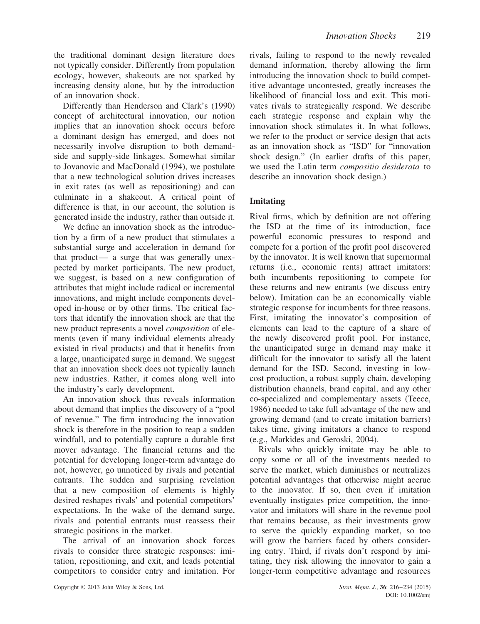the traditional dominant design literature does not typically consider. Differently from population ecology, however, shakeouts are not sparked by increasing density alone, but by the introduction of an innovation shock.

Differently than Henderson and Clark's (1990) concept of architectural innovation, our notion implies that an innovation shock occurs before a dominant design has emerged, and does not necessarily involve disruption to both demandside and supply-side linkages. Somewhat similar to Jovanovic and MacDonald (1994), we postulate that a new technological solution drives increases in exit rates (as well as repositioning) and can culminate in a shakeout. A critical point of difference is that, in our account, the solution is generated inside the industry, rather than outside it.

We define an innovation shock as the introduction by a firm of a new product that stimulates a substantial surge and acceleration in demand for that product— a surge that was generally unexpected by market participants. The new product, we suggest, is based on a new configuration of attributes that might include radical or incremental innovations, and might include components developed in-house or by other firms. The critical factors that identify the innovation shock are that the new product represents a novel *composition* of elements (even if many individual elements already existed in rival products) and that it benefits from a large, unanticipated surge in demand. We suggest that an innovation shock does not typically launch new industries. Rather, it comes along well into the industry's early development.

An innovation shock thus reveals information about demand that implies the discovery of a "pool of revenue." The firm introducing the innovation shock is therefore in the position to reap a sudden windfall, and to potentially capture a durable first mover advantage. The financial returns and the potential for developing longer-term advantage do not, however, go unnoticed by rivals and potential entrants. The sudden and surprising revelation that a new composition of elements is highly desired reshapes rivals' and potential competitors' expectations. In the wake of the demand surge, rivals and potential entrants must reassess their strategic positions in the market.

The arrival of an innovation shock forces rivals to consider three strategic responses: imitation, repositioning, and exit, and leads potential competitors to consider entry and imitation. For rivals, failing to respond to the newly revealed demand information, thereby allowing the firm introducing the innovation shock to build competitive advantage uncontested, greatly increases the likelihood of financial loss and exit. This motivates rivals to strategically respond. We describe each strategic response and explain why the innovation shock stimulates it. In what follows, we refer to the product or service design that acts as an innovation shock as "ISD" for "innovation shock design." (In earlier drafts of this paper, we used the Latin term *compositio desiderata* to describe an innovation shock design.)

### **Imitating**

Rival firms, which by definition are not offering the ISD at the time of its introduction, face powerful economic pressures to respond and compete for a portion of the profit pool discovered by the innovator. It is well known that supernormal returns (i.e., economic rents) attract imitators: both incumbents repositioning to compete for these returns and new entrants (we discuss entry below). Imitation can be an economically viable strategic response for incumbents for three reasons. First, imitating the innovator's composition of elements can lead to the capture of a share of the newly discovered profit pool. For instance, the unanticipated surge in demand may make it difficult for the innovator to satisfy all the latent demand for the ISD. Second, investing in lowcost production, a robust supply chain, developing distribution channels, brand capital, and any other co-specialized and complementary assets (Teece, 1986) needed to take full advantage of the new and growing demand (and to create imitation barriers) takes time, giving imitators a chance to respond (e.g., Markides and Geroski, 2004).

Rivals who quickly imitate may be able to copy some or all of the investments needed to serve the market, which diminishes or neutralizes potential advantages that otherwise might accrue to the innovator. If so, then even if imitation eventually instigates price competition, the innovator and imitators will share in the revenue pool that remains because, as their investments grow to serve the quickly expanding market, so too will grow the barriers faced by others considering entry. Third, if rivals don't respond by imitating, they risk allowing the innovator to gain a longer-term competitive advantage and resources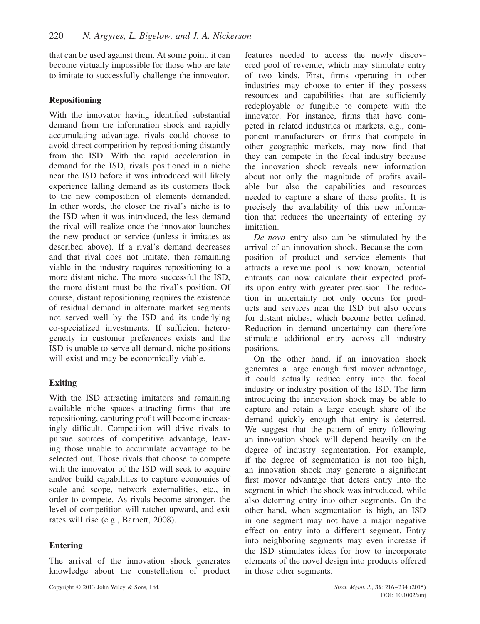that can be used against them. At some point, it can become virtually impossible for those who are late to imitate to successfully challenge the innovator.

#### **Repositioning**

With the innovator having identified substantial demand from the information shock and rapidly accumulating advantage, rivals could choose to avoid direct competition by repositioning distantly from the ISD. With the rapid acceleration in demand for the ISD, rivals positioned in a niche near the ISD before it was introduced will likely experience falling demand as its customers flock to the new composition of elements demanded. In other words, the closer the rival's niche is to the ISD when it was introduced, the less demand the rival will realize once the innovator launches the new product or service (unless it imitates as described above). If a rival's demand decreases and that rival does not imitate, then remaining viable in the industry requires repositioning to a more distant niche. The more successful the ISD, the more distant must be the rival's position. Of course, distant repositioning requires the existence of residual demand in alternate market segments not served well by the ISD and its underlying co-specialized investments. If sufficient heterogeneity in customer preferences exists and the ISD is unable to serve all demand, niche positions will exist and may be economically viable.

### **Exiting**

With the ISD attracting imitators and remaining available niche spaces attracting firms that are repositioning, capturing profit will become increasingly difficult. Competition will drive rivals to pursue sources of competitive advantage, leaving those unable to accumulate advantage to be selected out. Those rivals that choose to compete with the innovator of the ISD will seek to acquire and/or build capabilities to capture economies of scale and scope, network externalities, etc., in order to compete. As rivals become stronger, the level of competition will ratchet upward, and exit rates will rise (e.g., Barnett, 2008).

### **Entering**

The arrival of the innovation shock generates knowledge about the constellation of product features needed to access the newly discovered pool of revenue, which may stimulate entry of two kinds. First, firms operating in other industries may choose to enter if they possess resources and capabilities that are sufficiently redeployable or fungible to compete with the innovator. For instance, firms that have competed in related industries or markets, e.g., component manufacturers or firms that compete in other geographic markets, may now find that they can compete in the focal industry because the innovation shock reveals new information about not only the magnitude of profits available but also the capabilities and resources needed to capture a share of those profits. It is precisely the availability of this new information that reduces the uncertainty of entering by imitation.

*De novo* entry also can be stimulated by the arrival of an innovation shock. Because the composition of product and service elements that attracts a revenue pool is now known, potential entrants can now calculate their expected profits upon entry with greater precision. The reduction in uncertainty not only occurs for products and services near the ISD but also occurs for distant niches, which become better defined. Reduction in demand uncertainty can therefore stimulate additional entry across all industry positions.

On the other hand, if an innovation shock generates a large enough first mover advantage, it could actually reduce entry into the focal industry or industry position of the ISD. The firm introducing the innovation shock may be able to capture and retain a large enough share of the demand quickly enough that entry is deterred. We suggest that the pattern of entry following an innovation shock will depend heavily on the degree of industry segmentation. For example, if the degree of segmentation is not too high, an innovation shock may generate a significant first mover advantage that deters entry into the segment in which the shock was introduced, while also deterring entry into other segments. On the other hand, when segmentation is high, an ISD in one segment may not have a major negative effect on entry into a different segment. Entry into neighboring segments may even increase if the ISD stimulates ideas for how to incorporate elements of the novel design into products offered in those other segments.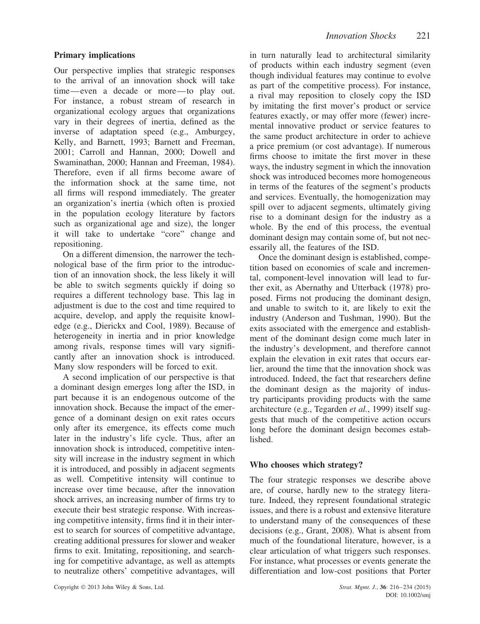#### **Primary implications**

Our perspective implies that strategic responses to the arrival of an innovation shock will take time—even a decade or more—to play out. For instance, a robust stream of research in organizational ecology argues that organizations vary in their degrees of inertia, defined as the inverse of adaptation speed (e.g., Amburgey, Kelly, and Barnett, 1993; Barnett and Freeman, 2001; Carroll and Hannan, 2000; Dowell and Swaminathan, 2000; Hannan and Freeman, 1984). Therefore, even if all firms become aware of the information shock at the same time, not all firms will respond immediately. The greater an organization's inertia (which often is proxied in the population ecology literature by factors such as organizational age and size), the longer it will take to undertake "core" change and repositioning.

On a different dimension, the narrower the technological base of the firm prior to the introduction of an innovation shock, the less likely it will be able to switch segments quickly if doing so requires a different technology base. This lag in adjustment is due to the cost and time required to acquire, develop, and apply the requisite knowledge (e.g., Dierickx and Cool, 1989). Because of heterogeneity in inertia and in prior knowledge among rivals, response times will vary significantly after an innovation shock is introduced. Many slow responders will be forced to exit.

A second implication of our perspective is that a dominant design emerges long after the ISD, in part because it is an endogenous outcome of the innovation shock. Because the impact of the emergence of a dominant design on exit rates occurs only after its emergence, its effects come much later in the industry's life cycle. Thus, after an innovation shock is introduced, competitive intensity will increase in the industry segment in which it is introduced, and possibly in adjacent segments as well. Competitive intensity will continue to increase over time because, after the innovation shock arrives, an increasing number of firms try to execute their best strategic response. With increasing competitive intensity, firms find it in their interest to search for sources of competitive advantage, creating additional pressures for slower and weaker firms to exit. Imitating, repositioning, and searching for competitive advantage, as well as attempts to neutralize others' competitive advantages, will

in turn naturally lead to architectural similarity of products within each industry segment (even though individual features may continue to evolve as part of the competitive process). For instance, a rival may reposition to closely copy the ISD by imitating the first mover's product or service features exactly, or may offer more (fewer) incremental innovative product or service features to the same product architecture in order to achieve a price premium (or cost advantage). If numerous firms choose to imitate the first mover in these ways, the industry segment in which the innovation shock was introduced becomes more homogeneous in terms of the features of the segment's products and services. Eventually, the homogenization may spill over to adjacent segments, ultimately giving rise to a dominant design for the industry as a whole. By the end of this process, the eventual dominant design may contain some of, but not necessarily all, the features of the ISD.

Once the dominant design is established, competition based on economies of scale and incremental, component-level innovation will lead to further exit, as Abernathy and Utterback (1978) proposed. Firms not producing the dominant design, and unable to switch to it, are likely to exit the industry (Anderson and Tushman, 1990). But the exits associated with the emergence and establishment of the dominant design come much later in the industry's development, and therefore cannot explain the elevation in exit rates that occurs earlier, around the time that the innovation shock was introduced. Indeed, the fact that researchers define the dominant design as the majority of industry participants providing products with the same architecture (e.g., Tegarden *et al.*, 1999) itself suggests that much of the competitive action occurs long before the dominant design becomes established.

#### **Who chooses which strategy?**

The four strategic responses we describe above are, of course, hardly new to the strategy literature. Indeed, they represent foundational strategic issues, and there is a robust and extensive literature to understand many of the consequences of these decisions (e.g., Grant, 2008). What is absent from much of the foundational literature, however, is a clear articulation of what triggers such responses. For instance, what processes or events generate the differentiation and low-cost positions that Porter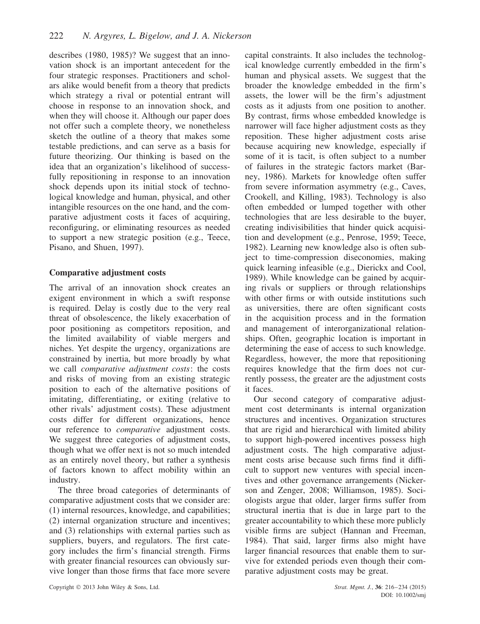describes (1980, 1985)? We suggest that an innovation shock is an important antecedent for the four strategic responses. Practitioners and scholars alike would benefit from a theory that predicts which strategy a rival or potential entrant will choose in response to an innovation shock, and when they will choose it. Although our paper does not offer such a complete theory, we nonetheless sketch the outline of a theory that makes some testable predictions, and can serve as a basis for future theorizing. Our thinking is based on the idea that an organization's likelihood of successfully repositioning in response to an innovation shock depends upon its initial stock of technological knowledge and human, physical, and other intangible resources on the one hand, and the comparative adjustment costs it faces of acquiring, reconfiguring, or eliminating resources as needed to support a new strategic position (e.g., Teece, Pisano, and Shuen, 1997).

#### **Comparative adjustment costs**

The arrival of an innovation shock creates an exigent environment in which a swift response is required. Delay is costly due to the very real threat of obsolescence, the likely exacerbation of poor positioning as competitors reposition, and the limited availability of viable mergers and niches. Yet despite the urgency, organizations are constrained by inertia, but more broadly by what we call *comparative adjustment costs*: the costs and risks of moving from an existing strategic position to each of the alternative positions of imitating, differentiating, or exiting (relative to other rivals' adjustment costs). These adjustment costs differ for different organizations, hence our reference to *comparative* adjustment costs. We suggest three categories of adjustment costs, though what we offer next is not so much intended as an entirely novel theory, but rather a synthesis of factors known to affect mobility within an industry.

The three broad categories of determinants of comparative adjustment costs that we consider are: (1) internal resources, knowledge, and capabilities; (2) internal organization structure and incentives; and (3) relationships with external parties such as suppliers, buyers, and regulators. The first category includes the firm's financial strength. Firms with greater financial resources can obviously survive longer than those firms that face more severe capital constraints. It also includes the technological knowledge currently embedded in the firm's human and physical assets. We suggest that the broader the knowledge embedded in the firm's assets, the lower will be the firm's adjustment costs as it adjusts from one position to another. By contrast, firms whose embedded knowledge is narrower will face higher adjustment costs as they reposition. These higher adjustment costs arise because acquiring new knowledge, especially if some of it is tacit, is often subject to a number of failures in the strategic factors market (Barney, 1986). Markets for knowledge often suffer from severe information asymmetry (e.g., Caves, Crookell, and Killing, 1983). Technology is also often embedded or lumped together with other technologies that are less desirable to the buyer, creating indivisibilities that hinder quick acquisition and development (e.g., Penrose, 1959; Teece, 1982). Learning new knowledge also is often subject to time-compression diseconomies, making quick learning infeasible (e.g., Dierickx and Cool, 1989). While knowledge can be gained by acquiring rivals or suppliers or through relationships with other firms or with outside institutions such as universities, there are often significant costs in the acquisition process and in the formation and management of interorganizational relationships. Often, geographic location is important in determining the ease of access to such knowledge. Regardless, however, the more that repositioning requires knowledge that the firm does not currently possess, the greater are the adjustment costs it faces.

Our second category of comparative adjustment cost determinants is internal organization structures and incentives. Organization structures that are rigid and hierarchical with limited ability to support high-powered incentives possess high adjustment costs. The high comparative adjustment costs arise because such firms find it difficult to support new ventures with special incentives and other governance arrangements (Nickerson and Zenger, 2008; Williamson, 1985). Sociologists argue that older, larger firms suffer from structural inertia that is due in large part to the greater accountability to which these more publicly visible firms are subject (Hannan and Freeman, 1984). That said, larger firms also might have larger financial resources that enable them to survive for extended periods even though their comparative adjustment costs may be great.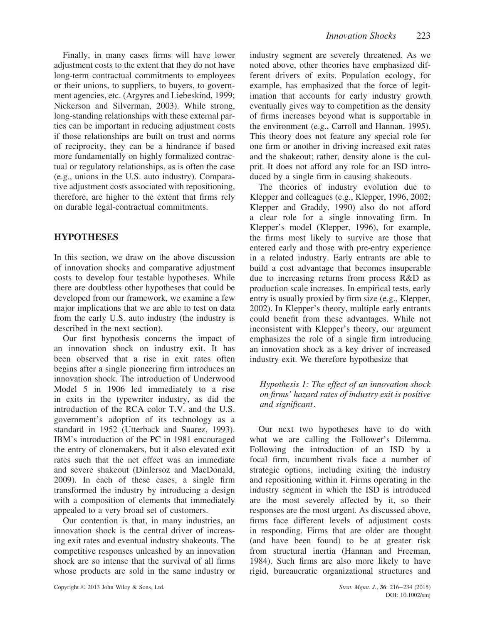Finally, in many cases firms will have lower adjustment costs to the extent that they do not have long-term contractual commitments to employees or their unions, to suppliers, to buyers, to government agencies, etc. (Argyres and Liebeskind, 1999; Nickerson and Silverman, 2003). While strong, long-standing relationships with these external parties can be important in reducing adjustment costs if those relationships are built on trust and norms of reciprocity, they can be a hindrance if based more fundamentally on highly formalized contractual or regulatory relationships, as is often the case (e.g., unions in the U.S. auto industry). Comparative adjustment costs associated with repositioning, therefore, are higher to the extent that firms rely on durable legal-contractual commitments.

# **HYPOTHESES**

In this section, we draw on the above discussion of innovation shocks and comparative adjustment costs to develop four testable hypotheses. While there are doubtless other hypotheses that could be developed from our framework, we examine a few major implications that we are able to test on data from the early U.S. auto industry (the industry is described in the next section).

Our first hypothesis concerns the impact of an innovation shock on industry exit. It has been observed that a rise in exit rates often begins after a single pioneering firm introduces an innovation shock. The introduction of Underwood Model 5 in 1906 led immediately to a rise in exits in the typewriter industry, as did the introduction of the RCA color T.V. and the U.S. government's adoption of its technology as a standard in 1952 (Utterback and Suarez, 1993). IBM's introduction of the PC in 1981 encouraged the entry of clonemakers, but it also elevated exit rates such that the net effect was an immediate and severe shakeout (Dinlersoz and MacDonald, 2009). In each of these cases, a single firm transformed the industry by introducing a design with a composition of elements that immediately appealed to a very broad set of customers.

Our contention is that, in many industries, an innovation shock is the central driver of increasing exit rates and eventual industry shakeouts. The competitive responses unleashed by an innovation shock are so intense that the survival of all firms whose products are sold in the same industry or industry segment are severely threatened. As we noted above, other theories have emphasized different drivers of exits. Population ecology, for example, has emphasized that the force of legitimation that accounts for early industry growth eventually gives way to competition as the density of firms increases beyond what is supportable in the environment (e.g., Carroll and Hannan, 1995). This theory does not feature any special role for one firm or another in driving increased exit rates and the shakeout; rather, density alone is the culprit. It does not afford any role for an ISD introduced by a single firm in causing shakeouts.

The theories of industry evolution due to Klepper and colleagues (e.g., Klepper, 1996, 2002; Klepper and Graddy, 1990) also do not afford a clear role for a single innovating firm. In Klepper's model (Klepper, 1996), for example, the firms most likely to survive are those that entered early and those with pre-entry experience in a related industry. Early entrants are able to build a cost advantage that becomes insuperable due to increasing returns from process R&D as production scale increases. In empirical tests, early entry is usually proxied by firm size (e.g., Klepper, 2002). In Klepper's theory, multiple early entrants could benefit from these advantages. While not inconsistent with Klepper's theory, our argument emphasizes the role of a single firm introducing an innovation shock as a key driver of increased industry exit. We therefore hypothesize that

*Hypothesis 1: The effect of an innovation shock on firms' hazard rates of industry exit is positive and significant*.

Our next two hypotheses have to do with what we are calling the Follower's Dilemma. Following the introduction of an ISD by a focal firm, incumbent rivals face a number of strategic options, including exiting the industry and repositioning within it. Firms operating in the industry segment in which the ISD is introduced are the most severely affected by it, so their responses are the most urgent. As discussed above, firms face different levels of adjustment costs in responding. Firms that are older are thought (and have been found) to be at greater risk from structural inertia (Hannan and Freeman, 1984). Such firms are also more likely to have rigid, bureaucratic organizational structures and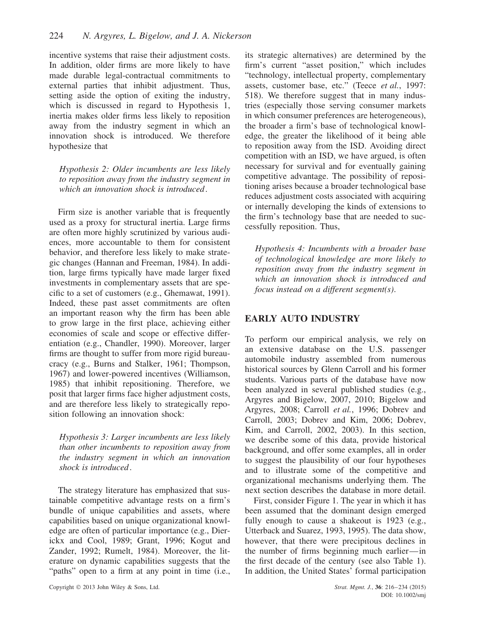incentive systems that raise their adjustment costs. In addition, older firms are more likely to have made durable legal-contractual commitments to external parties that inhibit adjustment. Thus, setting aside the option of exiting the industry, which is discussed in regard to Hypothesis 1, inertia makes older firms less likely to reposition away from the industry segment in which an innovation shock is introduced. We therefore hypothesize that

*Hypothesis 2: Older incumbents are less likely to reposition away from the industry segment in which an innovation shock is introduced*.

Firm size is another variable that is frequently used as a proxy for structural inertia. Large firms are often more highly scrutinized by various audiences, more accountable to them for consistent behavior, and therefore less likely to make strategic changes (Hannan and Freeman, 1984). In addition, large firms typically have made larger fixed investments in complementary assets that are specific to a set of customers (e.g., Ghemawat, 1991). Indeed, these past asset commitments are often an important reason why the firm has been able to grow large in the first place, achieving either economies of scale and scope or effective differentiation (e.g., Chandler, 1990). Moreover, larger firms are thought to suffer from more rigid bureaucracy (e.g., Burns and Stalker, 1961; Thompson, 1967) and lower-powered incentives (Williamson, 1985) that inhibit repositioning. Therefore, we posit that larger firms face higher adjustment costs, and are therefore less likely to strategically reposition following an innovation shock:

*Hypothesis 3: Larger incumbents are less likely than other incumbents to reposition away from the industry segment in which an innovation shock is introduced*.

The strategy literature has emphasized that sustainable competitive advantage rests on a firm's bundle of unique capabilities and assets, where capabilities based on unique organizational knowledge are often of particular importance (e.g., Dierickx and Cool, 1989; Grant, 1996; Kogut and Zander, 1992; Rumelt, 1984). Moreover, the literature on dynamic capabilities suggests that the "paths" open to a firm at any point in time (i.e., its strategic alternatives) are determined by the firm's current "asset position," which includes "technology, intellectual property, complementary assets, customer base, etc." (Teece *et al.*, 1997: 518). We therefore suggest that in many industries (especially those serving consumer markets in which consumer preferences are heterogeneous), the broader a firm's base of technological knowledge, the greater the likelihood of it being able to reposition away from the ISD. Avoiding direct competition with an ISD, we have argued, is often necessary for survival and for eventually gaining competitive advantage. The possibility of repositioning arises because a broader technological base reduces adjustment costs associated with acquiring or internally developing the kinds of extensions to the firm's technology base that are needed to successfully reposition. Thus,

*Hypothesis 4: Incumbents with a broader base of technological knowledge are more likely to reposition away from the industry segment in which an innovation shock is introduced and focus instead on a different segment(s)*.

# **EARLY AUTO INDUSTRY**

To perform our empirical analysis, we rely on an extensive database on the U.S. passenger automobile industry assembled from numerous historical sources by Glenn Carroll and his former students. Various parts of the database have now been analyzed in several published studies (e.g., Argyres and Bigelow, 2007, 2010; Bigelow and Argyres, 2008; Carroll *et al.*, 1996; Dobrev and Carroll, 2003; Dobrev and Kim, 2006; Dobrev, Kim, and Carroll, 2002, 2003). In this section, we describe some of this data, provide historical background, and offer some examples, all in order to suggest the plausibility of our four hypotheses and to illustrate some of the competitive and organizational mechanisms underlying them. The next section describes the database in more detail.

First, consider Figure 1. The year in which it has been assumed that the dominant design emerged fully enough to cause a shakeout is 1923 (e.g., Utterback and Suarez, 1993, 1995). The data show, however, that there were precipitous declines in the number of firms beginning much earlier—in the first decade of the century (see also Table 1). In addition, the United States' formal participation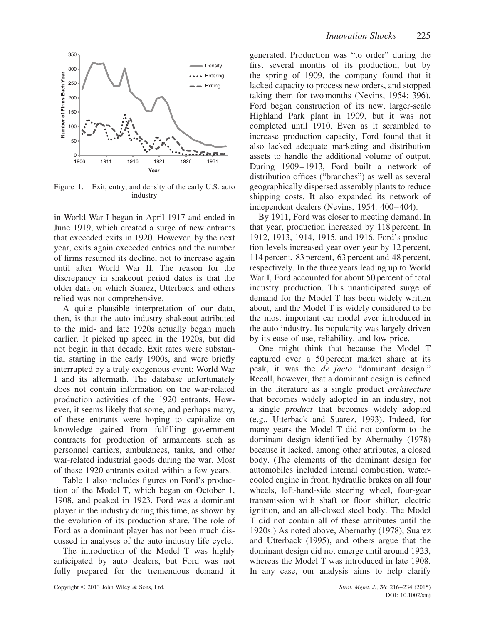

Figure 1. Exit, entry, and density of the early U.S. auto industry

in World War I began in April 1917 and ended in June 1919, which created a surge of new entrants that exceeded exits in 1920. However, by the next year, exits again exceeded entries and the number of firms resumed its decline, not to increase again until after World War II. The reason for the discrepancy in shakeout period dates is that the older data on which Suarez, Utterback and others relied was not comprehensive.

A quite plausible interpretation of our data, then, is that the auto industry shakeout attributed to the mid- and late 1920s actually began much earlier. It picked up speed in the 1920s, but did not begin in that decade. Exit rates were substantial starting in the early 1900s, and were briefly interrupted by a truly exogenous event: World War I and its aftermath. The database unfortunately does not contain information on the war-related production activities of the 1920 entrants. However, it seems likely that some, and perhaps many, of these entrants were hoping to capitalize on knowledge gained from fulfilling government contracts for production of armaments such as personnel carriers, ambulances, tanks, and other war-related industrial goods during the war. Most of these 1920 entrants exited within a few years.

Table 1 also includes figures on Ford's production of the Model T, which began on October 1, 1908, and peaked in 1923. Ford was a dominant player in the industry during this time, as shown by the evolution of its production share. The role of Ford as a dominant player has not been much discussed in analyses of the auto industry life cycle.

The introduction of the Model T was highly anticipated by auto dealers, but Ford was not fully prepared for the tremendous demand it generated. Production was "to order" during the first several months of its production, but by the spring of 1909, the company found that it lacked capacity to process new orders, and stopped taking them for two months (Nevins, 1954: 396). Ford began construction of its new, larger-scale Highland Park plant in 1909, but it was not completed until 1910. Even as it scrambled to increase production capacity, Ford found that it also lacked adequate marketing and distribution assets to handle the additional volume of output. During 1909–1913, Ford built a network of distribution offices ("branches") as well as several geographically dispersed assembly plants to reduce shipping costs. It also expanded its network of independent dealers (Nevins, 1954: 400–404).

By 1911, Ford was closer to meeting demand. In that year, production increased by 118 percent. In 1912, 1913, 1914, 1915, and 1916, Ford's production levels increased year over year by 12 percent, 114 percent, 83 percent, 63 percent and 48 percent, respectively. In the three years leading up to World War I, Ford accounted for about 50 percent of total industry production. This unanticipated surge of demand for the Model T has been widely written about, and the Model T is widely considered to be the most important car model ever introduced in the auto industry. Its popularity was largely driven by its ease of use, reliability, and low price.

One might think that because the Model T captured over a 50 percent market share at its peak, it was the *de facto* "dominant design." Recall, however, that a dominant design is defined in the literature as a single product *architecture* that becomes widely adopted in an industry, not a single *product* that becomes widely adopted (e.g., Utterback and Suarez, 1993). Indeed, for many years the Model T did not conform to the dominant design identified by Abernathy (1978) because it lacked, among other attributes, a closed body. (The elements of the dominant design for automobiles included internal combustion, watercooled engine in front, hydraulic brakes on all four wheels, left-hand-side steering wheel, four-gear transmission with shaft or floor shifter, electric ignition, and an all-closed steel body. The Model T did not contain all of these attributes until the 1920s.) As noted above, Abernathy (1978), Suarez and Utterback (1995), and others argue that the dominant design did not emerge until around 1923, whereas the Model T was introduced in late 1908. In any case, our analysis aims to help clarify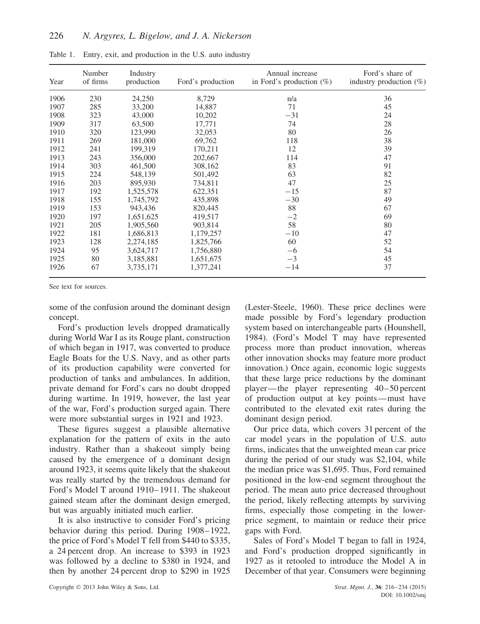| Year | Number<br>of firms | Industry<br>production | Ford's production | Annual increase<br>in Ford's production $(\%)$ | Ford's share of<br>industry production $(\%)$ |
|------|--------------------|------------------------|-------------------|------------------------------------------------|-----------------------------------------------|
| 1906 | 230                | 24,250                 | 8,729             | n/a                                            | 36                                            |
| 1907 | 285                | 33,200                 | 14,887            | 71                                             | 45                                            |
| 1908 | 323                | 43,000                 | 10,202            | $-31$                                          | 24                                            |
| 1909 | 317                | 63,500                 | 17,771            | 74                                             | 28                                            |
| 1910 | 320                | 123,990                | 32,053            | 80                                             | 26                                            |
| 1911 | 269                | 181,000                | 69,762            | 118                                            | 38                                            |
| 1912 | 241                | 199,319                | 170,211           | 12                                             | 39                                            |
| 1913 | 243                | 356,000                | 202,667           | 114                                            | 47                                            |
| 1914 | 303                | 461,500                | 308,162           | 83                                             | 91                                            |
| 1915 | 224                | 548,139                | 501,492           | 63                                             | 82                                            |
| 1916 | 203                | 895,930                | 734,811           | 47                                             | 25                                            |
| 1917 | 192                | 1,525,578              | 622,351           | $-15$                                          | 87                                            |
| 1918 | 155                | 1,745,792              | 435,898           | $-30$                                          | 49                                            |
| 1919 | 153                | 943,436                | 820,445           | 88                                             | 67                                            |
| 1920 | 197                | 1,651,625              | 419,517           | $-2$                                           | 69                                            |
| 1921 | 205                | 1,905,560              | 903,814           | 58                                             | 80                                            |
| 1922 | 181                | 1,686,813              | 1,179,257         | $-10$                                          | 47                                            |
| 1923 | 128                | 2,274,185              | 1,825,766         | 60                                             | 52                                            |
| 1924 | 95                 | 3,624,717              | 1,756,880         | $-6$                                           | 54                                            |
| 1925 | 80                 | 3,185,881              | 1,651,675         | $-3$                                           | 45                                            |
| 1926 | 67                 | 3,735,171              | 1,377,241         | $-14$                                          | 37                                            |

Table 1. Entry, exit, and production in the U.S. auto industry

See text for sources.

some of the confusion around the dominant design concept.

Ford's production levels dropped dramatically during World War I as its Rouge plant, construction of which began in 1917, was converted to produce Eagle Boats for the U.S. Navy, and as other parts of its production capability were converted for production of tanks and ambulances. In addition, private demand for Ford's cars no doubt dropped during wartime. In 1919, however, the last year of the war, Ford's production surged again. There were more substantial surges in 1921 and 1923.

These figures suggest a plausible alternative explanation for the pattern of exits in the auto industry. Rather than a shakeout simply being caused by the emergence of a dominant design around 1923, it seems quite likely that the shakeout was really started by the tremendous demand for Ford's Model T around 1910–1911. The shakeout gained steam after the dominant design emerged, but was arguably initiated much earlier.

It is also instructive to consider Ford's pricing behavior during this period. During 1908–1922, the price of Ford's Model T fell from \$440 to \$335, a 24 percent drop. An increase to \$393 in 1923 was followed by a decline to \$380 in 1924, and then by another 24 percent drop to \$290 in 1925

(Lester-Steele, 1960). These price declines were made possible by Ford's legendary production system based on interchangeable parts (Hounshell, 1984). (Ford's Model T may have represented process more than product innovation, whereas other innovation shocks may feature more product innovation.) Once again, economic logic suggests that these large price reductions by the dominant player—the player representing 40–50 percent of production output at key points—must have contributed to the elevated exit rates during the dominant design period.

Our price data, which covers 31 percent of the car model years in the population of U.S. auto firms, indicates that the unweighted mean car price during the period of our study was \$2,104, while the median price was \$1,695. Thus, Ford remained positioned in the low-end segment throughout the period. The mean auto price decreased throughout the period, likely reflecting attempts by surviving firms, especially those competing in the lowerprice segment, to maintain or reduce their price gaps with Ford.

Sales of Ford's Model T began to fall in 1924, and Ford's production dropped significantly in 1927 as it retooled to introduce the Model A in December of that year. Consumers were beginning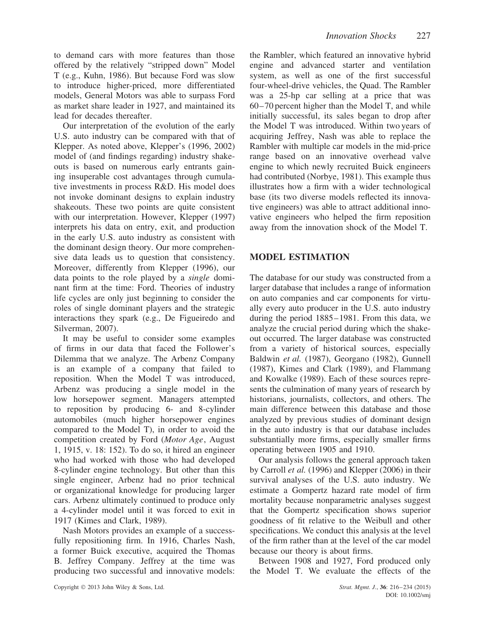to demand cars with more features than those offered by the relatively "stripped down" Model T (e.g., Kuhn, 1986). But because Ford was slow to introduce higher-priced, more differentiated models, General Motors was able to surpass Ford as market share leader in 1927, and maintained its lead for decades thereafter.

Our interpretation of the evolution of the early U.S. auto industry can be compared with that of Klepper. As noted above, Klepper's (1996, 2002) model of (and findings regarding) industry shakeouts is based on numerous early entrants gaining insuperable cost advantages through cumulative investments in process R&D. His model does not invoke dominant designs to explain industry shakeouts. These two points are quite consistent with our interpretation. However, Klepper (1997) interprets his data on entry, exit, and production in the early U.S. auto industry as consistent with the dominant design theory. Our more comprehensive data leads us to question that consistency. Moreover, differently from Klepper (1996), our data points to the role played by a *single* dominant firm at the time: Ford. Theories of industry life cycles are only just beginning to consider the roles of single dominant players and the strategic interactions they spark (e.g., De Figueiredo and Silverman, 2007).

It may be useful to consider some examples of firms in our data that faced the Follower's Dilemma that we analyze. The Arbenz Company is an example of a company that failed to reposition. When the Model T was introduced, Arbenz was producing a single model in the low horsepower segment. Managers attempted to reposition by producing 6- and 8-cylinder automobiles (much higher horsepower engines compared to the Model T), in order to avoid the competition created by Ford (*Motor Age*, August 1, 1915, v. 18: 152). To do so, it hired an engineer who had worked with those who had developed 8-cylinder engine technology. But other than this single engineer, Arbenz had no prior technical or organizational knowledge for producing larger cars. Arbenz ultimately continued to produce only a 4-cylinder model until it was forced to exit in 1917 (Kimes and Clark, 1989).

Nash Motors provides an example of a successfully repositioning firm. In 1916, Charles Nash, a former Buick executive, acquired the Thomas B. Jeffrey Company. Jeffrey at the time was producing two successful and innovative models: the Rambler, which featured an innovative hybrid engine and advanced starter and ventilation system, as well as one of the first successful four-wheel-drive vehicles, the Quad. The Rambler was a 25-hp car selling at a price that was 60–70 percent higher than the Model T, and while initially successful, its sales began to drop after the Model T was introduced. Within two years of acquiring Jeffrey, Nash was able to replace the Rambler with multiple car models in the mid-price range based on an innovative overhead valve engine to which newly recruited Buick engineers had contributed (Norbye, 1981). This example thus illustrates how a firm with a wider technological base (its two diverse models reflected its innovative engineers) was able to attract additional innovative engineers who helped the firm reposition away from the innovation shock of the Model T.

# **MODEL ESTIMATION**

The database for our study was constructed from a larger database that includes a range of information on auto companies and car components for virtually every auto producer in the U.S. auto industry during the period 1885–1981. From this data, we analyze the crucial period during which the shakeout occurred. The larger database was constructed from a variety of historical sources, especially Baldwin *et al.* (1987), Georgano (1982), Gunnell (1987), Kimes and Clark (1989), and Flammang and Kowalke (1989). Each of these sources represents the culmination of many years of research by historians, journalists, collectors, and others. The main difference between this database and those analyzed by previous studies of dominant design in the auto industry is that our database includes substantially more firms, especially smaller firms operating between 1905 and 1910.

Our analysis follows the general approach taken by Carroll *et al.* (1996) and Klepper (2006) in their survival analyses of the U.S. auto industry. We estimate a Gompertz hazard rate model of firm mortality because nonparametric analyses suggest that the Gompertz specification shows superior goodness of fit relative to the Weibull and other specifications. We conduct this analysis at the level of the firm rather than at the level of the car model because our theory is about firms.

Between 1908 and 1927, Ford produced only the Model T. We evaluate the effects of the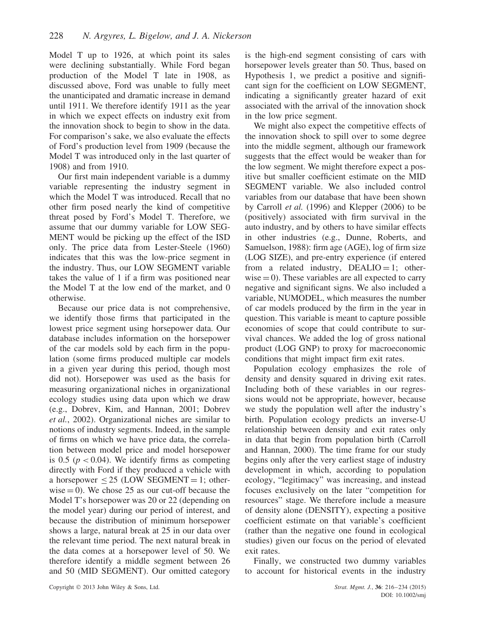Model T up to 1926, at which point its sales were declining substantially. While Ford began production of the Model T late in 1908, as discussed above, Ford was unable to fully meet the unanticipated and dramatic increase in demand until 1911. We therefore identify 1911 as the year in which we expect effects on industry exit from the innovation shock to begin to show in the data. For comparison's sake, we also evaluate the effects of Ford's production level from 1909 (because the Model T was introduced only in the last quarter of 1908) and from 1910.

Our first main independent variable is a dummy variable representing the industry segment in which the Model T was introduced. Recall that no other firm posed nearly the kind of competitive threat posed by Ford's Model T. Therefore, we assume that our dummy variable for LOW SEG-MENT would be picking up the effect of the ISD only. The price data from Lester-Steele (1960) indicates that this was the low-price segment in the industry. Thus, our LOW SEGMENT variable takes the value of 1 if a firm was positioned near the Model T at the low end of the market, and 0 otherwise.

Because our price data is not comprehensive, we identify those firms that participated in the lowest price segment using horsepower data. Our database includes information on the horsepower of the car models sold by each firm in the population (some firms produced multiple car models in a given year during this period, though most did not). Horsepower was used as the basis for measuring organizational niches in organizational ecology studies using data upon which we draw (e.g., Dobrev, Kim, and Hannan, 2001; Dobrev *et al.*, 2002). Organizational niches are similar to notions of industry segments. Indeed, in the sample of firms on which we have price data, the correlation between model price and model horsepower is 0.5 ( $p < 0.04$ ). We identify firms as competing directly with Ford if they produced a vehicle with a horsepower  $\leq 25$  (LOW SEGMENT = 1; otherwise  $= 0$ ). We chose 25 as our cut-off because the Model T's horsepower was 20 or 22 (depending on the model year) during our period of interest, and because the distribution of minimum horsepower shows a large, natural break at 25 in our data over the relevant time period. The next natural break in the data comes at a horsepower level of 50. We therefore identify a middle segment between 26 and 50 (MID SEGMENT). Our omitted category

is the high-end segment consisting of cars with horsepower levels greater than 50. Thus, based on Hypothesis 1, we predict a positive and significant sign for the coefficient on LOW SEGMENT, indicating a significantly greater hazard of exit associated with the arrival of the innovation shock in the low price segment.

We might also expect the competitive effects of the innovation shock to spill over to some degree into the middle segment, although our framework suggests that the effect would be weaker than for the low segment. We might therefore expect a positive but smaller coefficient estimate on the MID SEGMENT variable. We also included control variables from our database that have been shown by Carroll *et al.* (1996) and Klepper (2006) to be (positively) associated with firm survival in the auto industry, and by others to have similar effects in other industries (e.g., Dunne, Roberts, and Samuelson, 1988): firm age (AGE), log of firm size (LOG SIZE), and pre-entry experience (if entered from a related industry,  $DEALIO = 1$ ; otherwise  $= 0$ ). These variables are all expected to carry negative and significant signs. We also included a variable, NUMODEL, which measures the number of car models produced by the firm in the year in question. This variable is meant to capture possible economies of scope that could contribute to survival chances. We added the log of gross national product (LOG GNP) to proxy for macroeconomic conditions that might impact firm exit rates.

Population ecology emphasizes the role of density and density squared in driving exit rates. Including both of these variables in our regressions would not be appropriate, however, because we study the population well after the industry's birth. Population ecology predicts an inverse-U relationship between density and exit rates only in data that begin from population birth (Carroll and Hannan, 2000). The time frame for our study begins only after the very earliest stage of industry development in which, according to population ecology, "legitimacy" was increasing, and instead focuses exclusively on the later "competition for resources" stage. We therefore include a measure of density alone (DENSITY), expecting a positive coefficient estimate on that variable's coefficient (rather than the negative one found in ecological studies) given our focus on the period of elevated exit rates.

Finally, we constructed two dummy variables to account for historical events in the industry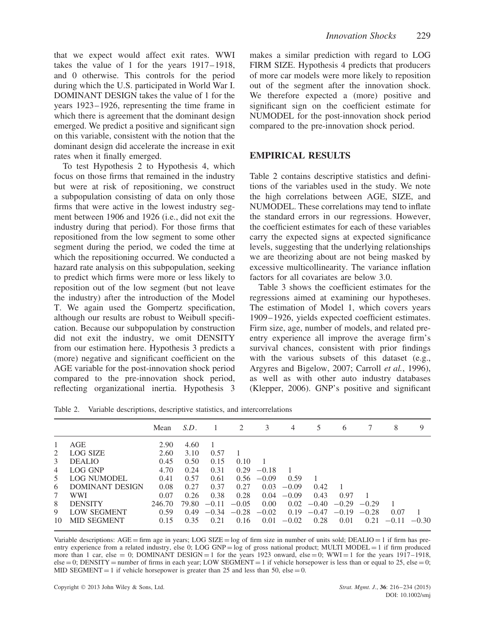that we expect would affect exit rates. WWI takes the value of 1 for the years 1917–1918, and 0 otherwise. This controls for the period during which the U.S. participated in World War I. DOMINANT DESIGN takes the value of 1 for the years 1923–1926, representing the time frame in which there is agreement that the dominant design emerged. We predict a positive and significant sign on this variable, consistent with the notion that the dominant design did accelerate the increase in exit rates when it finally emerged.

To test Hypothesis 2 to Hypothesis 4, which focus on those firms that remained in the industry but were at risk of repositioning, we construct a subpopulation consisting of data on only those firms that were active in the lowest industry segment between 1906 and 1926 (i.e., did not exit the industry during that period). For those firms that repositioned from the low segment to some other segment during the period, we coded the time at which the repositioning occurred. We conducted a hazard rate analysis on this subpopulation, seeking to predict which firms were more or less likely to reposition out of the low segment (but not leave the industry) after the introduction of the Model T. We again used the Gompertz specification, although our results are robust to Weibull specification. Because our subpopulation by construction did not exit the industry, we omit DENSITY from our estimation here. Hypothesis 3 predicts a (more) negative and significant coefficient on the AGE variable for the post-innovation shock period compared to the pre-innovation shock period, reflecting organizational inertia. Hypothesis 3 makes a similar prediction with regard to LOG FIRM SIZE. Hypothesis 4 predicts that producers of more car models were more likely to reposition out of the segment after the innovation shock. We therefore expected a (more) positive and significant sign on the coefficient estimate for NUMODEL for the post-innovation shock period compared to the pre-innovation shock period.

#### **EMPIRICAL RESULTS**

Table 2 contains descriptive statistics and definitions of the variables used in the study. We note the high correlations between AGE, SIZE, and NUMODEL. These correlations may tend to inflate the standard errors in our regressions. However, the coefficient estimates for each of these variables carry the expected signs at expected significance levels, suggesting that the underlying relationships we are theorizing about are not being masked by excessive multicollinearity. The variance inflation factors for all covariates are below 3.0.

Table 3 shows the coefficient estimates for the regressions aimed at examining our hypotheses. The estimation of Model 1, which covers years 1909–1926, yields expected coefficient estimates. Firm size, age, number of models, and related preentry experience all improve the average firm's survival chances, consistent with prior findings with the various subsets of this dataset (e.g., Argyres and Bigelow, 2007; Carroll *et al.*, 1996), as well as with other auto industry databases (Klepper, 2006). GNP's positive and significant

Table 2. Variable descriptions, descriptive statistics, and intercorrelations

|                |                    | Mean   | S.D.  |         | 2       | 3              | 4             | 5            | 6               |         | 8       | 9       |
|----------------|--------------------|--------|-------|---------|---------|----------------|---------------|--------------|-----------------|---------|---------|---------|
| 1              | AGE                | 2.90   | 4.60  |         |         |                |               |              |                 |         |         |         |
| 2              | LOG SIZE           | 2.60   | 3.10  | 0.57    |         |                |               |              |                 |         |         |         |
| 3              | <b>DEALIO</b>      | 0.45   | 0.50  | 0.15    | 0.10    |                |               |              |                 |         |         |         |
| $\overline{4}$ | LOG GNP            | 4.70   | 0.24  | 0.31    | 0.29    | $-0.18$        |               |              |                 |         |         |         |
| 5              | LOG NUMODEL        | 0.41   | 0.57  | 0.61    | 0.56    | $-0.09$        | 0.59          |              |                 |         |         |         |
| 6              | DOMINANT DESIGN    | 0.08   | 0.27  | 0.37    | 0.27    |                | $0.03 -0.09$  | 0.42         |                 |         |         |         |
| 7              | <b>WWI</b>         | 0.07   | 0.26  | 0.38    | 0.28    |                | $0.04 - 0.09$ | 0.43         | 0.97            |         |         |         |
| 8              | <b>DENSITY</b>     | 246.70 | 79.80 | $-0.11$ | $-0.05$ | $0.00^{\circ}$ |               | $0.02 -0.40$ | $-0.29$         | $-0.29$ |         |         |
| 9              | <b>LOW SEGMENT</b> | 0.59   | 0.49  | $-0.34$ | $-0.28$ | $-0.02$        | 0.19          |              | $-0.47$ $-0.19$ | $-0.28$ | 0.07    |         |
| 10             | MID SEGMENT        | 0.15   | 0.35  | 0.21    | 0.16    | 0.01           | $-0.02$       | 0.28         | 0.01            | 0.21    | $-0.11$ | $-0.30$ |

Variable descriptions: AGE = firm age in years; LOG SIZE = log of firm size in number of units sold; DEALIO = 1 if firm has preentry experience from a related industry, else 0; LOG GNP =  $log$  of gross national product; MULTI MODEL = 1 if firm produced more than 1 car, else = 0; DOMINANT DESIGN = 1 for the years 1923 onward, else = 0; WWI = 1 for the years 1917–1918,  $else = 0; DENSITY = number of firms in each year; LOW SEGMENT = 1 if vehicle horsepower is less than or equal to 25, else = 0;$ MID SEGMENT = 1 if vehicle horsepower is greater than 25 and less than 50, else = 0.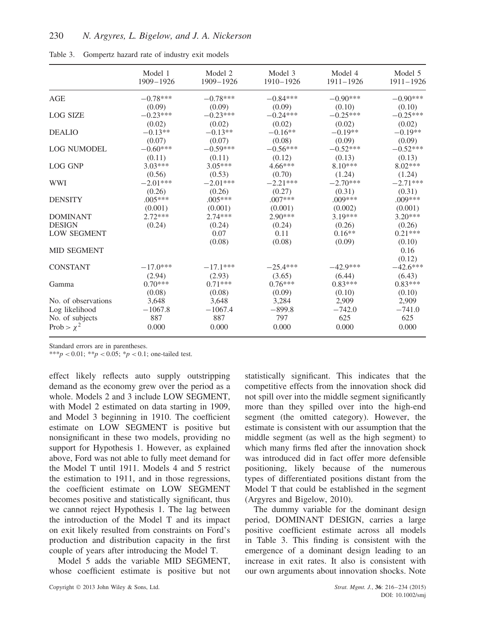|                                     | Model 1    | Model 2                  | Model 3                  | Model 4                      | Model 5                       |
|-------------------------------------|------------|--------------------------|--------------------------|------------------------------|-------------------------------|
|                                     | 1909-1926  | 1909-1926                | $1910 - 1926$            | $1911 - 1926$                | $1911 - 1926$                 |
| AGE                                 | $-0.78***$ | $-0.78***$               | $-0.84***$               | $-0.90***$                   | $-0.90***$                    |
|                                     | (0.09)     | (0.09)                   | (0.09)                   | (0.10)                       | (0.10)                        |
| <b>LOG SIZE</b>                     | $-0.23***$ | $-0.23***$               | $-0.24***$               | $-0.25***$                   | $-0.25***$                    |
|                                     | (0.02)     | (0.02)                   | (0.02)                   | (0.02)                       | (0.02)                        |
| <b>DEALIO</b>                       | $-0.13**$  | $-0.13**$                | $-0.16**$                | $-0.19**$                    | $-0.19**$                     |
|                                     | (0.07)     | (0.07)                   | (0.08)                   | (0.09)                       | (0.09)                        |
| <b>LOG NUMODEL</b>                  | $-0.60***$ | $-0.59***$               | $-0.56***$               | $-0.52***$                   | $-0.52***$                    |
|                                     | (0.11)     | (0.11)                   | (0.12)                   | (0.13)                       | (0.13)                        |
| <b>LOG GNP</b>                      | $3.03***$  | $3.05***$                | $4.66***$                | $8.10***$                    | $8.02***$                     |
|                                     | (0.56)     | (0.53)                   | (0.70)                   | (1.24)                       | (1.24)                        |
| <b>WWI</b>                          | $-2.01***$ | $-2.01***$               | $-2.21***$               | $-2.70***$                   | $-2.71***$                    |
|                                     | (0.26)     | (0.26)                   | (0.27)                   | (0.31)                       | (0.31)                        |
| <b>DENSITY</b>                      | $.005***$  | $.005***$                | $.007***$                | $.009***$                    | $.009***$                     |
|                                     | (0.001)    | (0.001)                  | (0.001)                  | (0.002)                      | (0.001)                       |
| <b>DOMINANT</b>                     | $2.72***$  | $2.74***$                | $2.90***$                | $3.19***$                    | $3.20***$                     |
| <b>DESIGN</b><br><b>LOW SEGMENT</b> | (0.24)     | (0.24)<br>0.07<br>(0.08) | (0.24)<br>0.11<br>(0.08) | (0.26)<br>$0.16**$<br>(0.09) | (0.26)<br>$0.21***$<br>(0.10) |
| <b>MID SEGMENT</b>                  |            |                          |                          |                              | 0.16<br>(0.12)                |
| <b>CONSTANT</b>                     | $-17.0***$ | $-17.1***$               | $-25.4***$               | $-42.9***$                   | $-42.6***$                    |
|                                     | (2.94)     | (2.93)                   | (3.65)                   | (6.44)                       | (6.43)                        |
| Gamma                               | $0.70***$  | $0.71***$                | $0.76***$                | $0.83***$                    | $0.83***$                     |
|                                     | (0.08)     | (0.08)                   | (0.09)                   | (0.10)                       | (0.10)                        |
| No. of observations                 | 3,648      | 3,648                    | 3,284                    | 2,909                        | 2,909                         |
| Log likelihood                      | $-1067.8$  | $-1067.4$                | $-899.8$                 | $-742.0$                     | $-741.0$                      |
| No. of subjects                     | 887        | 887                      | 797                      | 625                          | 625                           |
| Prob $> \chi^2$                     | 0.000      | 0.000                    | 0.000                    | 0.000                        | 0.000                         |

Table 3. Gompertz hazard rate of industry exit models

Standard errors are in parentheses.

\*\*\**p* < 0.01; \*\**p* < 0.05; \**p* < 0.1; one-tailed test.

effect likely reflects auto supply outstripping demand as the economy grew over the period as a whole. Models 2 and 3 include LOW SEGMENT, with Model 2 estimated on data starting in 1909, and Model 3 beginning in 1910. The coefficient estimate on LOW SEGMENT is positive but nonsignificant in these two models, providing no support for Hypothesis 1. However, as explained above, Ford was not able to fully meet demand for the Model T until 1911. Models 4 and 5 restrict the estimation to 1911, and in those regressions, the coefficient estimate on LOW SEGMENT becomes positive and statistically significant, thus we cannot reject Hypothesis 1. The lag between the introduction of the Model T and its impact on exit likely resulted from constraints on Ford's production and distribution capacity in the first couple of years after introducing the Model T.

Model 5 adds the variable MID SEGMENT, whose coefficient estimate is positive but not

statistically significant. This indicates that the competitive effects from the innovation shock did not spill over into the middle segment significantly more than they spilled over into the high-end segment (the omitted category). However, the estimate is consistent with our assumption that the middle segment (as well as the high segment) to which many firms fled after the innovation shock was introduced did in fact offer more defensible positioning, likely because of the numerous types of differentiated positions distant from the Model T that could be established in the segment (Argyres and Bigelow, 2010).

The dummy variable for the dominant design period, DOMINANT DESIGN, carries a large positive coefficient estimate across all models in Table 3. This finding is consistent with the emergence of a dominant design leading to an increase in exit rates. It also is consistent with our own arguments about innovation shocks. Note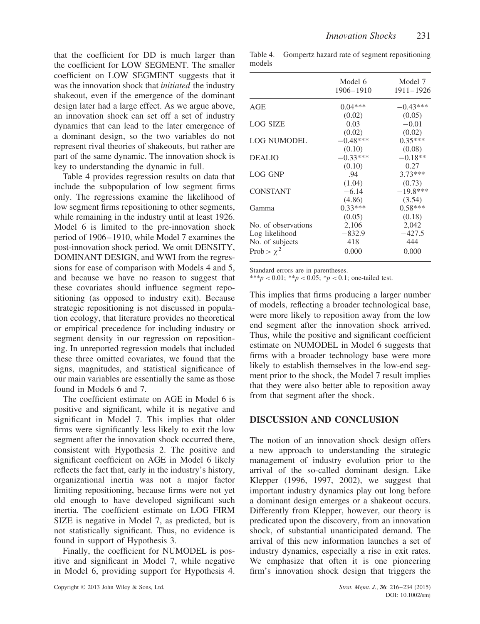that the coefficient for DD is much larger than the coefficient for LOW SEGMENT. The smaller coefficient on LOW SEGMENT suggests that it was the innovation shock that *initiated* the industry shakeout, even if the emergence of the dominant design later had a large effect. As we argue above, an innovation shock can set off a set of industry dynamics that can lead to the later emergence of a dominant design, so the two variables do not represent rival theories of shakeouts, but rather are part of the same dynamic. The innovation shock is key to understanding the dynamic in full.

Table 4 provides regression results on data that include the subpopulation of low segment firms only. The regressions examine the likelihood of low segment firms repositioning to other segments, while remaining in the industry until at least 1926. Model 6 is limited to the pre-innovation shock period of 1906–1910, while Model 7 examines the post-innovation shock period. We omit DENSITY, DOMINANT DESIGN, and WWI from the regressions for ease of comparison with Models 4 and 5, and because we have no reason to suggest that these covariates should influence segment repositioning (as opposed to industry exit). Because strategic repositioning is not discussed in population ecology, that literature provides no theoretical or empirical precedence for including industry or segment density in our regression on repositioning. In unreported regression models that included these three omitted covariates, we found that the signs, magnitudes, and statistical significance of our main variables are essentially the same as those found in Models 6 and 7.

The coefficient estimate on AGE in Model 6 is positive and significant, while it is negative and significant in Model 7. This implies that older firms were significantly less likely to exit the low segment after the innovation shock occurred there, consistent with Hypothesis 2. The positive and significant coefficient on AGE in Model 6 likely reflects the fact that, early in the industry's history, organizational inertia was not a major factor limiting repositioning, because firms were not yet old enough to have developed significant such inertia. The coefficient estimate on LOG FIRM SIZE is negative in Model 7, as predicted, but is not statistically significant. Thus, no evidence is found in support of Hypothesis 3.

Finally, the coefficient for NUMODEL is positive and significant in Model 7, while negative in Model 6, providing support for Hypothesis 4.

|                     | Model 6<br>1906-1910 | Model 7<br>$1911 - 1926$ |
|---------------------|----------------------|--------------------------|
| AGE                 | $0.04***$            | $-0.43***$               |
|                     | (0.02)               | (0.05)                   |
| <b>LOG SIZE</b>     | 0.03                 | $-0.01$                  |
|                     | (0.02)               | (0.02)                   |
| <b>LOG NUMODEL</b>  | $-0.48***$           | $0.35***$                |
|                     | (0.10)               | (0.08)                   |
| <b>DEALIO</b>       | $-0.33***$           | $-0.18**$                |
|                     | (0.10)               | 0.27                     |
| LOG GNP             | .94                  | $3.73***$                |
|                     | (1.04)               | (0.73)                   |
| <b>CONSTANT</b>     | $-6.14$              | $-19.8***$               |
|                     | (4.86)               | (3.54)                   |
| Gamma               | $0.33***$            | $0.58***$                |
|                     | (0.05)               | (0.18)                   |
| No. of observations | 2,106                | 2,042                    |
| Log likelihood      | $-832.9$             | $-427.5$                 |
| No. of subjects     | 418                  | 444                      |
| Prob $> \chi^2$     | 0.000                | 0.000                    |

Standard errors are in parentheses.

\*\*\**p* < 0.01; \*\**p* < 0.05; \**p* < 0.1; one-tailed test.

This implies that firms producing a larger number of models, reflecting a broader technological base, were more likely to reposition away from the low end segment after the innovation shock arrived. Thus, while the positive and significant coefficient estimate on NUMODEL in Model 6 suggests that firms with a broader technology base were more likely to establish themselves in the low-end segment prior to the shock, the Model 7 result implies that they were also better able to reposition away from that segment after the shock.

### **DISCUSSION AND CONCLUSION**

The notion of an innovation shock design offers a new approach to understanding the strategic management of industry evolution prior to the arrival of the so-called dominant design. Like Klepper (1996, 1997, 2002), we suggest that important industry dynamics play out long before a dominant design emerges or a shakeout occurs. Differently from Klepper, however, our theory is predicated upon the discovery, from an innovation shock, of substantial unanticipated demand. The arrival of this new information launches a set of industry dynamics, especially a rise in exit rates. We emphasize that often it is one pioneering firm's innovation shock design that triggers the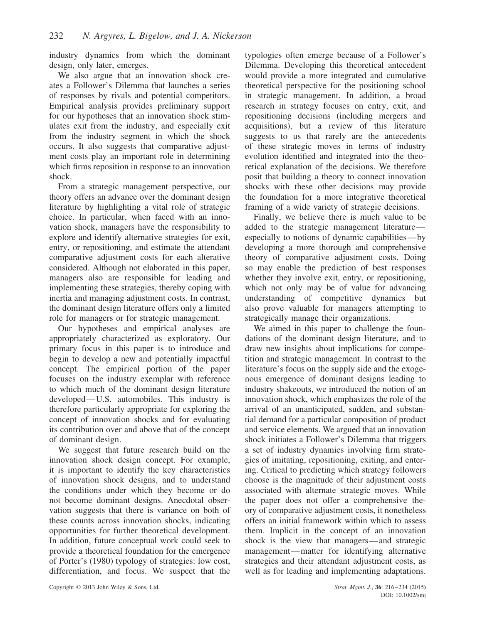industry dynamics from which the dominant design, only later, emerges.

We also argue that an innovation shock creates a Follower's Dilemma that launches a series of responses by rivals and potential competitors. Empirical analysis provides preliminary support for our hypotheses that an innovation shock stimulates exit from the industry, and especially exit from the industry segment in which the shock occurs. It also suggests that comparative adjustment costs play an important role in determining which firms reposition in response to an innovation shock.

From a strategic management perspective, our theory offers an advance over the dominant design literature by highlighting a vital role of strategic choice. In particular, when faced with an innovation shock, managers have the responsibility to explore and identify alternative strategies for exit, entry, or repositioning, and estimate the attendant comparative adjustment costs for each alterative considered. Although not elaborated in this paper, managers also are responsible for leading and implementing these strategies, thereby coping with inertia and managing adjustment costs. In contrast, the dominant design literature offers only a limited role for managers or for strategic management.

Our hypotheses and empirical analyses are appropriately characterized as exploratory. Our primary focus in this paper is to introduce and begin to develop a new and potentially impactful concept. The empirical portion of the paper focuses on the industry exemplar with reference to which much of the dominant design literature developed—U.S. automobiles. This industry is therefore particularly appropriate for exploring the concept of innovation shocks and for evaluating its contribution over and above that of the concept of dominant design.

We suggest that future research build on the innovation shock design concept. For example, it is important to identify the key characteristics of innovation shock designs, and to understand the conditions under which they become or do not become dominant designs. Anecdotal observation suggests that there is variance on both of these counts across innovation shocks, indicating opportunities for further theoretical development. In addition, future conceptual work could seek to provide a theoretical foundation for the emergence of Porter's (1980) typology of strategies: low cost, differentiation, and focus. We suspect that the typologies often emerge because of a Follower's Dilemma. Developing this theoretical antecedent would provide a more integrated and cumulative theoretical perspective for the positioning school in strategic management. In addition, a broad research in strategy focuses on entry, exit, and repositioning decisions (including mergers and acquisitions), but a review of this literature suggests to us that rarely are the antecedents of these strategic moves in terms of industry evolution identified and integrated into the theoretical explanation of the decisions. We therefore posit that building a theory to connect innovation shocks with these other decisions may provide the foundation for a more integrative theoretical framing of a wide variety of strategic decisions.

Finally, we believe there is much value to be added to the strategic management literature especially to notions of dynamic capabilities—by developing a more thorough and comprehensive theory of comparative adjustment costs. Doing so may enable the prediction of best responses whether they involve exit, entry, or repositioning, which not only may be of value for advancing understanding of competitive dynamics but also prove valuable for managers attempting to strategically manage their organizations.

We aimed in this paper to challenge the foundations of the dominant design literature, and to draw new insights about implications for competition and strategic management. In contrast to the literature's focus on the supply side and the exogenous emergence of dominant designs leading to industry shakeouts, we introduced the notion of an innovation shock, which emphasizes the role of the arrival of an unanticipated, sudden, and substantial demand for a particular composition of product and service elements. We argued that an innovation shock initiates a Follower's Dilemma that triggers a set of industry dynamics involving firm strategies of imitating, repositioning, exiting, and entering. Critical to predicting which strategy followers choose is the magnitude of their adjustment costs associated with alternate strategic moves. While the paper does not offer a comprehensive theory of comparative adjustment costs, it nonetheless offers an initial framework within which to assess them. Implicit in the concept of an innovation shock is the view that managers—and strategic management—matter for identifying alternative strategies and their attendant adjustment costs, as well as for leading and implementing adaptations.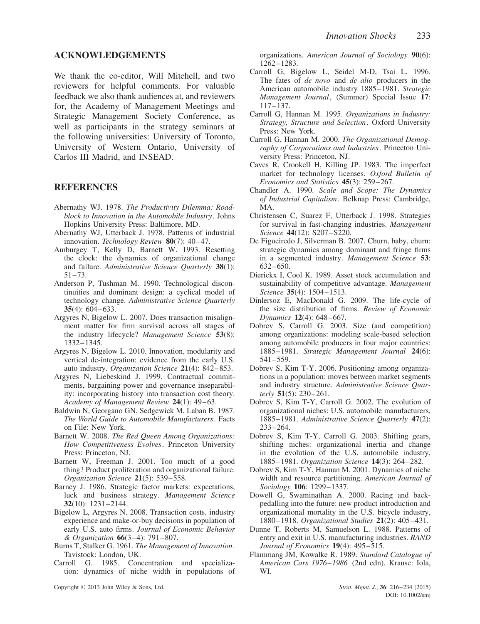#### **ACKNOWLEDGEMENTS**

We thank the co-editor, Will Mitchell, and two reviewers for helpful comments. For valuable feedback we also thank audiences at, and reviewers for, the Academy of Management Meetings and Strategic Management Society Conference, as well as participants in the strategy seminars at the following universities: University of Toronto, University of Western Ontario, University of Carlos III Madrid, and INSEAD.

#### **REFERENCES**

- Abernathy WJ. 1978. *The Productivity Dilemma: Roadblock to Innovation in the Automobile Industry*. Johns Hopkins University Press: Baltimore, MD.
- Abernathy WJ, Utterback J. 1978. Patterns of industrial innovation. *Technology Review* **80**(7): 40–47.
- Amburgey T, Kelly D, Barnett W. 1993. Resetting the clock: the dynamics of organizational change and failure. *Administrative Science Quarterly* **38**(1): 51–73.
- Anderson P, Tushman M. 1990. Technological discontinuities and dominant design: a cyclical model of technology change. *Administrative Science Quarterly* **35**(4): 604–633.
- Argyres N, Bigelow L. 2007. Does transaction misalignment matter for firm survival across all stages of the industry lifecycle? *Management Science* **53**(8): 1332–1345.
- Argyres N, Bigelow L. 2010. Innovation, modularity and vertical de-integration: evidence from the early U.S. auto industry. *Organization Science* **21**(4): 842–853.
- Argyres N, Liebeskind J. 1999. Contractual commitments, bargaining power and governance inseparability: incorporating history into transaction cost theory. *Academy of Management Review* **24**(1): 49–63.
- Baldwin N, Georgano GN, Sedgewick M, Laban B. 1987. *The World Guide to Automobile Manufacturers*. Facts on File: New York.
- Barnett W. 2008. *The Red Queen Among Organizations: How Competitiveness Evolves*. Princeton University Press: Princeton, NJ.
- Barnett W, Freeman J. 2001. Too much of a good thing? Product proliferation and organizational failure. *Organization Science* **21**(5): 539–558.
- Barney J. 1986. Strategic factor markets: expectations, luck and business strategy. *Management Science* **32**(10): 1231–2144.
- Bigelow L, Argyres N. 2008. Transaction costs, industry experience and make-or-buy decisions in population of early U.S. auto firms. *Journal of Economic Behavior & Organization* **66**(3–4): 791–807.
- Burns T, Stalker G. 1961. *The Management of Innovation*. Tavistock: London, UK.
- Carroll G. 1985. Concentration and specialization: dynamics of niche width in populations of

1262–1283. Carroll G, Bigelow L, Seidel M-D, Tsai L. 1996.

The fates of *de novo* and *de alio* producers in the American automobile industry 1885–1981. *Strategic Management Journal*, (Summer) Special Issue **17**: 117–137.

organizations. *American Journal of Sociology* **90**(6):

- Carroll G, Hannan M. 1995. *Organizations in Industry: Strategy, Structure and Selection*. Oxford University Press: New York.
- Carroll G, Hannan M. 2000. *The Organizational Demography of Corporations and Industries*. Princeton University Press: Princeton, NJ.
- Caves R, Crookell H, Killing JP. 1983. The imperfect market for technology licenses. *Oxford Bulletin of Economics and Statistics* **45**(3): 259–267.
- Chandler A. 1990. *Scale and Scope: The Dynamics of Industrial Capitalism*. Belknap Press: Cambridge, MA.
- Christensen C, Suarez F, Utterback J. 1998. Strategies for survival in fast-changing industries. *Management Science* **44**(12): S207–S220.
- De Figueiredo J, Silverman B. 2007. Churn, baby, churn: strategic dynamics among dominant and fringe firms in a segmented industry. *Management Science* **53**: 632–650.
- Dierickx I, Cool K. 1989. Asset stock accumulation and sustainability of competitive advantage. *Management Science* **35**(4): 1504–1513.
- Dinlersoz E, MacDonald G. 2009. The life-cycle of the size distribution of firms. *Review of Economic Dynamics* **12**(4): 648–667.
- Dobrev S, Carroll G. 2003. Size (and competition) among organizations: modeling scale-based selection among automobile producers in four major countries: 1885–1981. *Strategic Management Journal* **24**(6): 541–559.
- Dobrev S, Kim T-Y. 2006. Positioning among organizations in a population: moves between market segments and industry structure. *Administrative Science Quarterly* **51**(5): 230–261.
- Dobrev S, Kim T-Y, Carroll G. 2002. The evolution of organizational niches: U.S. automobile manufacturers, 1885–1981. *Administrative Science Quarterly* **47**(2): 233–264.
- Dobrev S, Kim T-Y, Carroll G. 2003. Shifting gears, shifting niches: organizational inertia and change in the evolution of the U.S. automobile industry, 1885–1981. *Organization Science* **14**(3): 264–282.
- Dobrev S, Kim T-Y, Hannan M. 2001. Dynamics of niche width and resource partitioning. *American Journal of Sociology* **106**: 1299–1337.
- Dowell G, Swaminathan A. 2000. Racing and backpedalling into the future: new product introduction and organizational mortality in the U.S. bicycle industry, 1880–1918. *Organizational Studies* **21**(2): 405–431.
- Dunne T, Roberts M, Samuelson L. 1988. Patterns of entry and exit in U.S. manufacturing industries. *RAND Journal of Economics* **19**(4): 495–515.
- Flammang JM, Kowalke R. 1989. *Standard Catalogue of American Cars 1976–1986* (2nd edn). Krause: Iola, WI.